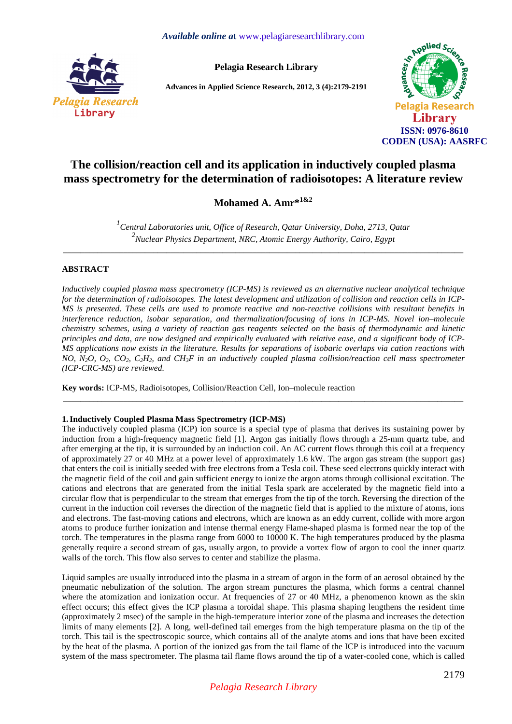

**Pelagia Research Library** 

**Advances in Applied Science Research, 2012, 3 (4):2179-2191** 



# **The collision/reaction cell and its application in inductively coupled plasma mass spectrometry for the determination of radioisotopes: A literature review**

# **Mohamed A. Amr\*1&2**

*1 Central Laboratories unit, Office of Research, Qatar University, Doha, 2713, Qatar 2 Nuclear Physics Department, NRC, Atomic Energy Authority, Cairo, Egypt*  \_\_\_\_\_\_\_\_\_\_\_\_\_\_\_\_\_\_\_\_\_\_\_\_\_\_\_\_\_\_\_\_\_\_\_\_\_\_\_\_\_\_\_\_\_\_\_\_\_\_\_\_\_\_\_\_\_\_\_\_\_\_\_\_\_\_\_\_\_\_\_\_\_\_\_\_\_\_\_\_\_\_\_\_\_\_\_\_\_\_\_\_\_

# **ABSTRACT**

*Inductively coupled plasma mass spectrometry (ICP-MS) is reviewed as an alternative nuclear analytical technique for the determination of radioisotopes. The latest development and utilization of collision and reaction cells in ICP-MS is presented. These cells are used to promote reactive and non-reactive collisions with resultant benefits in interference reduction, isobar separation, and thermalization/focusing of ions in ICP-MS. Novel ion–molecule chemistry schemes, using a variety of reaction gas reagents selected on the basis of thermodynamic and kinetic principles and data, are now designed and empirically evaluated with relative ease, and a significant body of ICP-MS applications now exists in the literature. Results for separations of isobaric overlaps via cation reactions with NO, N*<sub>2</sub>*O, O*<sub>2</sub>*, CO*<sub>2</sub>*, C*<sub>2</sub>*H*<sub>2</sub>*, and CH*<sub>3</sub>*F* in an inductively coupled plasma collision/reaction cell mass spectrometer *(ICP-CRC-MS) are reviewed.* 

\_\_\_\_\_\_\_\_\_\_\_\_\_\_\_\_\_\_\_\_\_\_\_\_\_\_\_\_\_\_\_\_\_\_\_\_\_\_\_\_\_\_\_\_\_\_\_\_\_\_\_\_\_\_\_\_\_\_\_\_\_\_\_\_\_\_\_\_\_\_\_\_\_\_\_\_\_\_\_\_\_\_\_\_\_\_\_\_\_\_\_\_\_

**Key words:** ICP-MS, Radioisotopes, Collision/Reaction Cell, Ion–molecule reaction

## **1.Inductively Coupled Plasma Mass Spectrometry (ICP-MS)**

The inductively coupled plasma (ICP) ion source is a special type of plasma that derives its sustaining power by induction from a high-frequency magnetic field [1]. Argon gas initially flows through a 25-mm quartz tube, and after emerging at the tip, it is surrounded by an induction coil. An AC current flows through this coil at a frequency of approximately 27 or 40 MHz at a power level of approximately 1.6 kW. The argon gas stream (the support gas) that enters the coil is initially seeded with free electrons from a Tesla coil. These seed electrons quickly interact with the magnetic field of the coil and gain sufficient energy to ionize the argon atoms through collisional excitation. The cations and electrons that are generated from the initial Tesla spark are accelerated by the magnetic field into a circular flow that is perpendicular to the stream that emerges from the tip of the torch. Reversing the direction of the current in the induction coil reverses the direction of the magnetic field that is applied to the mixture of atoms, ions and electrons. The fast-moving cations and electrons, which are known as an eddy current, collide with more argon atoms to produce further ionization and intense thermal energy Flame-shaped plasma is formed near the top of the torch. The temperatures in the plasma range from 6000 to 10000 K. The high temperatures produced by the plasma generally require a second stream of gas, usually argon, to provide a vortex flow of argon to cool the inner quartz walls of the torch. This flow also serves to center and stabilize the plasma.

Liquid samples are usually introduced into the plasma in a stream of argon in the form of an aerosol obtained by the pneumatic nebulization of the solution. The argon stream punctures the plasma, which forms a central channel where the atomization and ionization occur. At frequencies of 27 or 40 MHz, a phenomenon known as the skin effect occurs; this effect gives the ICP plasma a toroidal shape. This plasma shaping lengthens the resident time (approximately 2 msec) of the sample in the high-temperature interior zone of the plasma and increases the detection limits of many elements [2]. A long, well-defined tail emerges from the high temperature plasma on the tip of the torch. This tail is the spectroscopic source, which contains all of the analyte atoms and ions that have been excited by the heat of the plasma. A portion of the ionized gas from the tail flame of the ICP is introduced into the vacuum system of the mass spectrometer. The plasma tail flame flows around the tip of a water-cooled cone, which is called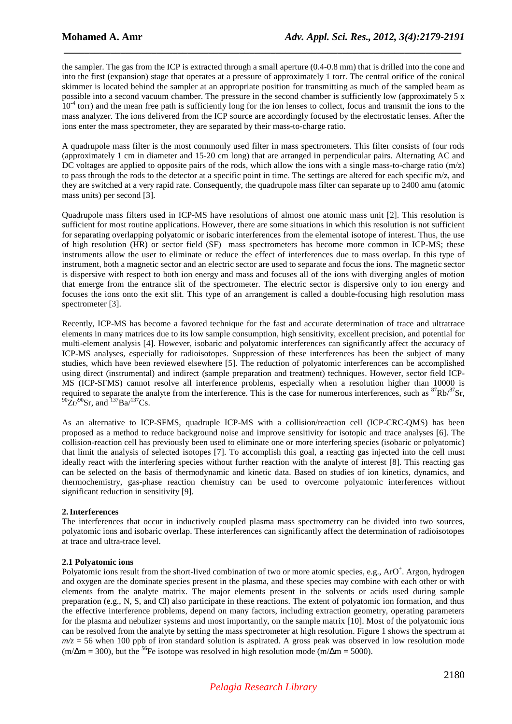the sampler. The gas from the ICP is extracted through a small aperture (0.4-0.8 mm) that is drilled into the cone and into the first (expansion) stage that operates at a pressure of approximately 1 torr. The central orifice of the conical skimmer is located behind the sampler at an appropriate position for transmitting as much of the sampled beam as possible into a second vacuum chamber. The pressure in the second chamber is sufficiently low (approximately 5 x  $10<sup>-4</sup>$  torr) and the mean free path is sufficiently long for the ion lenses to collect, focus and transmit the ions to the mass analyzer. The ions delivered from the ICP source are accordingly focused by the electrostatic lenses. After the ions enter the mass spectrometer, they are separated by their mass-to-charge ratio.

 *\_\_\_\_\_\_\_\_\_\_\_\_\_\_\_\_\_\_\_\_\_\_\_\_\_\_\_\_\_\_\_\_\_\_\_\_\_\_\_\_\_\_\_\_\_\_\_\_\_\_\_\_\_\_\_\_\_\_\_\_\_\_\_\_\_\_\_\_\_\_\_\_\_\_\_\_\_*

A quadrupole mass filter is the most commonly used filter in mass spectrometers. This filter consists of four rods (approximately 1 cm in diameter and 15-20 cm long) that are arranged in perpendicular pairs. Alternating AC and DC voltages are applied to opposite pairs of the rods, which allow the ions with a single mass-to-charge ratio  $(m/z)$ to pass through the rods to the detector at a specific point in time. The settings are altered for each specific m/z, and they are switched at a very rapid rate. Consequently, the quadrupole mass filter can separate up to 2400 amu (atomic mass units) per second [3].

Quadrupole mass filters used in ICP-MS have resolutions of almost one atomic mass unit [2]. This resolution is sufficient for most routine applications. However, there are some situations in which this resolution is not sufficient for separating overlapping polyatomic or isobaric interferences from the elemental isotope of interest. Thus, the use of high resolution (HR) or sector field (SF) mass spectrometers has become more common in ICP-MS; these instruments allow the user to eliminate or reduce the effect of interferences due to mass overlap. In this type of instrument, both a magnetic sector and an electric sector are used to separate and focus the ions. The magnetic sector is dispersive with respect to both ion energy and mass and focuses all of the ions with diverging angles of motion that emerge from the entrance slit of the spectrometer. The electric sector is dispersive only to ion energy and focuses the ions onto the exit slit. This type of an arrangement is called a double-focusing high resolution mass spectrometer [3].

Recently, ICP-MS has become a favored technique for the fast and accurate determination of trace and ultratrace elements in many matrices due to its low sample consumption, high sensitivity, excellent precision, and potential for multi-element analysis [4]. However, isobaric and polyatomic interferences can significantly affect the accuracy of ICP-MS analyses, especially for radioisotopes. Suppression of these interferences has been the subject of many studies, which have been reviewed elsewhere [5]. The reduction of polyatomic interferences can be accomplished using direct (instrumental) and indirect (sample preparation and treatment) techniques. However, sector field ICP-MS (ICP-SFMS) cannot resolve all interference problems, especially when a resolution higher than 10000 is required to separate the analyte from the interference. This is the case for numerous interferences, such as  ${}^{87}Rb/{}^{87}Sr$ ,  $^{90}Zr/^{90}Sr$ , and  $^{137}Ba/^{137}Cs$ .

As an alternative to ICP-SFMS, quadruple ICP-MS with a collision/reaction cell (ICP-CRC-QMS) has been proposed as a method to reduce background noise and improve sensitivity for isotopic and trace analyses [6]. The collision-reaction cell has previously been used to eliminate one or more interfering species (isobaric or polyatomic) that limit the analysis of selected isotopes [7]. To accomplish this goal, a reacting gas injected into the cell must ideally react with the interfering species without further reaction with the analyte of interest [8]. This reacting gas can be selected on the basis of thermodynamic and kinetic data. Based on studies of ion kinetics, dynamics, and thermochemistry, gas-phase reaction chemistry can be used to overcome polyatomic interferences without significant reduction in sensitivity [9].

## **2.Interferences**

The interferences that occur in inductively coupled plasma mass spectrometry can be divided into two sources, polyatomic ions and isobaric overlap. These interferences can significantly affect the determination of radioisotopes at trace and ultra-trace level.

#### **2.1 Polyatomic ions**

Polyatomic ions result from the short-lived combination of two or more atomic species, e.g., ArO<sup>+</sup>. Argon, hydrogen and oxygen are the dominate species present in the plasma, and these species may combine with each other or with elements from the analyte matrix. The major elements present in the solvents or acids used during sample preparation (e.g., N, S, and Cl) also participate in these reactions. The extent of polyatomic ion formation, and thus the effective interference problems, depend on many factors, including extraction geometry, operating parameters for the plasma and nebulizer systems and most importantly, on the sample matrix [10]. Most of the polyatomic ions can be resolved from the analyte by setting the mass spectrometer at high resolution. Figure 1 shows the spectrum at  $m/z = 56$  when 100 ppb of iron standard solution is aspirated. A gross peak was observed in low resolution mode  $(m/\Delta m = 300)$ , but the <sup>56</sup>Fe isotope was resolved in high resolution mode (m/ $\Delta m = 5000$ ).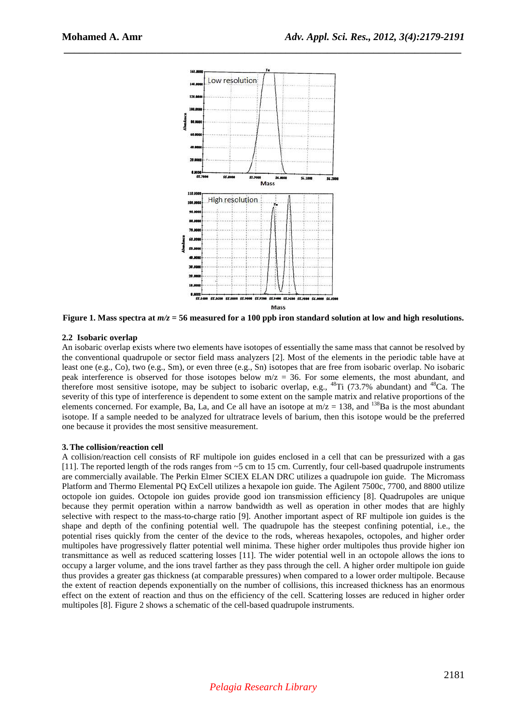

 *\_\_\_\_\_\_\_\_\_\_\_\_\_\_\_\_\_\_\_\_\_\_\_\_\_\_\_\_\_\_\_\_\_\_\_\_\_\_\_\_\_\_\_\_\_\_\_\_\_\_\_\_\_\_\_\_\_\_\_\_\_\_\_\_\_\_\_\_\_\_\_\_\_\_\_\_\_*

**Figure 1. Mass spectra at** *m/z* **= 56 measured for a 100 ppb iron standard solution at low and high resolutions.** 

#### **2.2 Isobaric overlap**

An isobaric overlap exists where two elements have isotopes of essentially the same mass that cannot be resolved by the conventional quadrupole or sector field mass analyzers [2]. Most of the elements in the periodic table have at least one (e.g., Co), two (e.g., Sm), or even three (e.g., Sn) isotopes that are free from isobaric overlap. No isobaric peak interference is observed for those isotopes below  $m/z = 36$ . For some elements, the most abundant, and therefore most sensitive isotope, may be subject to isobaric overlap, e.g., <sup>48</sup>Ti (73.7% abundant) and <sup>48</sup>Ca. The severity of this type of interference is dependent to some extent on the sample matrix and relative proportions of the elements concerned. For example, Ba, La, and Ce all have an isotope at  $m/z = 138$ , and  $^{138}Ba$  is the most abundant isotope. If a sample needed to be analyzed for ultratrace levels of barium, then this isotope would be the preferred one because it provides the most sensitive measurement.

#### **3.The collision/reaction cell**

A collision/reaction cell consists of RF multipole ion guides enclosed in a cell that can be pressurized with a gas [11]. The reported length of the rods ranges from ~5 cm to 15 cm. Currently, four cell-based quadrupole instruments are commercially available. The Perkin Elmer SCIEX ELAN DRC utilizes a quadrupole ion guide. The Micromass Platform and Thermo Elemental PQ ExCell utilizes a hexapole ion guide. The Agilent 7500c, 7700, and 8800 utilize octopole ion guides. Octopole ion guides provide good ion transmission efficiency [8]. Quadrupoles are unique because they permit operation within a narrow bandwidth as well as operation in other modes that are highly selective with respect to the mass-to-charge ratio [9]. Another important aspect of RF multipole ion guides is the shape and depth of the confining potential well. The quadrupole has the steepest confining potential, i.e., the potential rises quickly from the center of the device to the rods, whereas hexapoles, octopoles, and higher order multipoles have progressively flatter potential well minima. These higher order multipoles thus provide higher ion transmittance as well as reduced scattering losses [11]. The wider potential well in an octopole allows the ions to occupy a larger volume, and the ions travel farther as they pass through the cell. A higher order multipole ion guide thus provides a greater gas thickness (at comparable pressures) when compared to a lower order multipole. Because the extent of reaction depends exponentially on the number of collisions, this increased thickness has an enormous effect on the extent of reaction and thus on the efficiency of the cell. Scattering losses are reduced in higher order multipoles [8]. Figure 2 shows a schematic of the cell-based quadrupole instruments.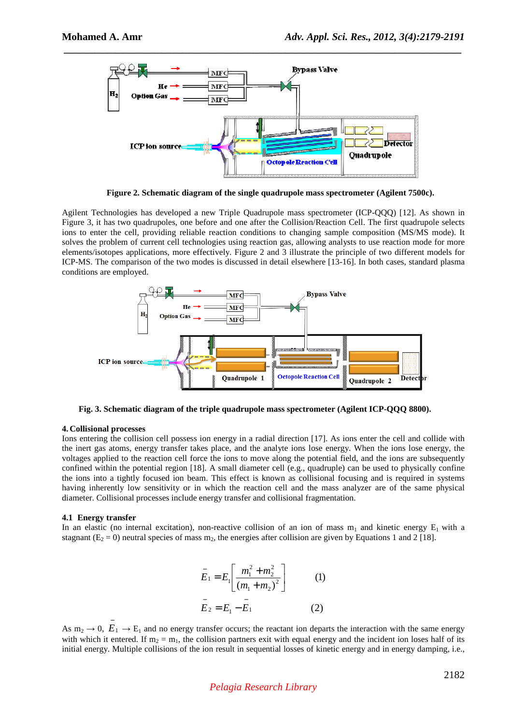

 *\_\_\_\_\_\_\_\_\_\_\_\_\_\_\_\_\_\_\_\_\_\_\_\_\_\_\_\_\_\_\_\_\_\_\_\_\_\_\_\_\_\_\_\_\_\_\_\_\_\_\_\_\_\_\_\_\_\_\_\_\_\_\_\_\_\_\_\_\_\_\_\_\_\_\_\_\_*

**Figure 2. Schematic diagram of the single quadrupole mass spectrometer (Agilent 7500c).** 

Agilent Technologies has developed a new Triple Quadrupole mass spectrometer (ICP-QQQ) [12]. As shown in Figure 3, it has two quadrupoles, one before and one after the Collision/Reaction Cell. The first quadrupole selects ions to enter the cell, providing reliable reaction conditions to changing sample composition (MS/MS mode). It solves the problem of current cell technologies using reaction gas, allowing analysts to use reaction mode for more elements/isotopes applications, more effectively. Figure 2 and 3 illustrate the principle of two different models for ICP-MS. The comparison of the two modes is discussed in detail elsewhere [13-16]. In both cases, standard plasma conditions are employed.



**Fig. 3. Schematic diagram of the triple quadrupole mass spectrometer (Agilent ICP-QQQ 8800).** 

#### **4. Collisional processes**

Ions entering the collision cell possess ion energy in a radial direction [17]. As ions enter the cell and collide with the inert gas atoms, energy transfer takes place, and the analyte ions lose energy. When the ions lose energy, the voltages applied to the reaction cell force the ions to move along the potential field, and the ions are subsequently confined within the potential region [18]. A small diameter cell (e.g., quadruple) can be used to physically confine the ions into a tightly focused ion beam. This effect is known as collisional focusing and is required in systems having inherently low sensitivity or in which the reaction cell and the mass analyzer are of the same physical diameter. Collisional processes include energy transfer and collisional fragmentation.

#### **4.1 Energy transfer**

−

In an elastic (no internal excitation), non-reactive collision of an ion of mass  $m_1$  and kinetic energy  $E_1$  with a stagnant ( $E_2 = 0$ ) neutral species of mass m<sub>2</sub>, the energies after collision are given by Equations 1 and 2 [18].

$$
\bar{E}_1 = E_1 \left[ \frac{m_1^2 + m_2^2}{(m_1 + m_2)^2} \right]
$$
 (1)  

$$
\bar{E}_2 = E_1 - \bar{E}_1
$$
 (2)

As  $m_2 \to 0$ ,  $E_1 \to E_1$  and no energy transfer occurs; the reactant ion departs the interaction with the same energy with which it entered. If  $m_2 = m_1$ , the collision partners exit with equal energy and the incident ion loses half of its initial energy. Multiple collisions of the ion result in sequential losses of kinetic energy and in energy damping, i.e.,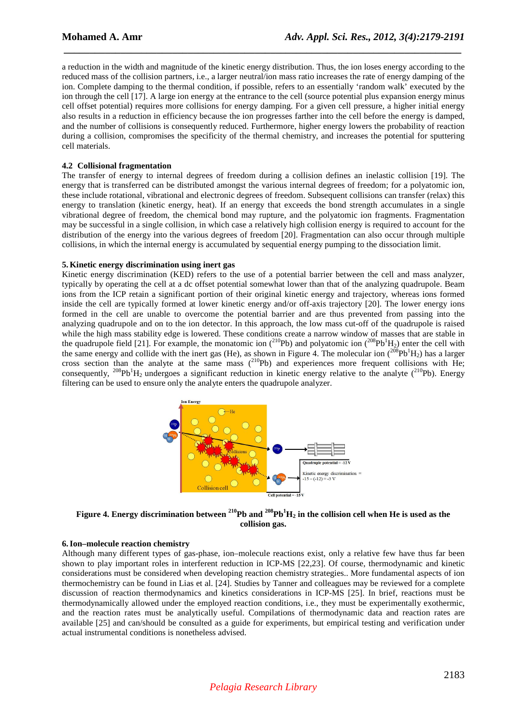a reduction in the width and magnitude of the kinetic energy distribution. Thus, the ion loses energy according to the reduced mass of the collision partners, i.e., a larger neutral/ion mass ratio increases the rate of energy damping of the ion. Complete damping to the thermal condition, if possible, refers to an essentially 'random walk' executed by the ion through the cell [17]. A large ion energy at the entrance to the cell (source potential plus expansion energy minus cell offset potential) requires more collisions for energy damping. For a given cell pressure, a higher initial energy also results in a reduction in efficiency because the ion progresses farther into the cell before the energy is damped, and the number of collisions is consequently reduced. Furthermore, higher energy lowers the probability of reaction during a collision, compromises the specificity of the thermal chemistry, and increases the potential for sputtering cell materials.

 *\_\_\_\_\_\_\_\_\_\_\_\_\_\_\_\_\_\_\_\_\_\_\_\_\_\_\_\_\_\_\_\_\_\_\_\_\_\_\_\_\_\_\_\_\_\_\_\_\_\_\_\_\_\_\_\_\_\_\_\_\_\_\_\_\_\_\_\_\_\_\_\_\_\_\_\_\_*

## **4.2 Collisional fragmentation**

The transfer of energy to internal degrees of freedom during a collision defines an inelastic collision [19]. The energy that is transferred can be distributed amongst the various internal degrees of freedom; for a polyatomic ion, these include rotational, vibrational and electronic degrees of freedom. Subsequent collisions can transfer (relax) this energy to translation (kinetic energy, heat). If an energy that exceeds the bond strength accumulates in a single vibrational degree of freedom, the chemical bond may rupture, and the polyatomic ion fragments. Fragmentation may be successful in a single collision, in which case a relatively high collision energy is required to account for the distribution of the energy into the various degrees of freedom [20]. Fragmentation can also occur through multiple collisions, in which the internal energy is accumulated by sequential energy pumping to the dissociation limit.

## **5. Kinetic energy discrimination using inert gas**

Kinetic energy discrimination (KED) refers to the use of a potential barrier between the cell and mass analyzer, typically by operating the cell at a dc offset potential somewhat lower than that of the analyzing quadrupole. Beam ions from the ICP retain a significant portion of their original kinetic energy and trajectory, whereas ions formed inside the cell are typically formed at lower kinetic energy and/or off-axis trajectory [20]. The lower energy ions formed in the cell are unable to overcome the potential barrier and are thus prevented from passing into the analyzing quadrupole and on to the ion detector. In this approach, the low mass cut-off of the quadrupole is raised while the high mass stability edge is lowered. These conditions create a narrow window of masses that are stable in the quadrupole field [21]. For example, the monatomic ion (<sup>210</sup>Pb) and polyatomic ion (<sup>208</sup>Pb<sup>1</sup>H<sub>2</sub>) enter the cell with the same energy and collide with the inert gas (He), as shown in Figure 4. The molecular ion  $(2^{08}Pb^1H_2)$  has a larger cross section than the analyte at the same mass  $(210Pb)$  and experiences more frequent collisions with He; consequently,  $^{208}Pb^1H_2$  undergoes a significant reduction in kinetic energy relative to the analyte ( $^{210}Pb$ ). Energy filtering can be used to ensure only the analyte enters the quadrupole analyzer.



**Figure 4. Energy discrimination between <sup>210</sup>Pb and <sup>208</sup>Pb<sup>1</sup>H2 in the collision cell when He is used as the collision gas.** 

### **6. Ion–molecule reaction chemistry**

Although many different types of gas-phase, ion–molecule reactions exist, only a relative few have thus far been shown to play important roles in interferent reduction in ICP-MS [22,23]. Of course, thermodynamic and kinetic considerations must be considered when developing reaction chemistry strategies.. More fundamental aspects of ion thermochemistry can be found in Lias et al. [24]. Studies by Tanner and colleagues may be reviewed for a complete discussion of reaction thermodynamics and kinetics considerations in ICP-MS [25]. In brief, reactions must be thermodynamically allowed under the employed reaction conditions, i.e., they must be experimentally exothermic, and the reaction rates must be analytically useful. Compilations of thermodynamic data and reaction rates are available [25] and can/should be consulted as a guide for experiments, but empirical testing and verification under actual instrumental conditions is nonetheless advised.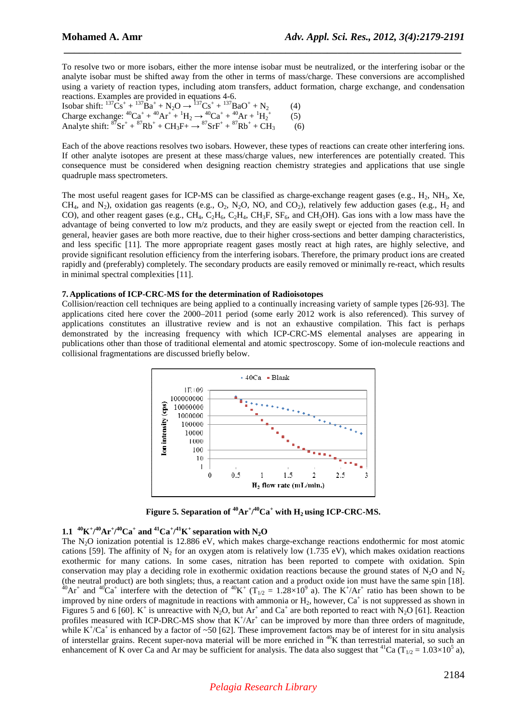To resolve two or more isobars, either the more intense isobar must be neutralized, or the interfering isobar or the analyte isobar must be shifted away from the other in terms of mass/charge. These conversions are accomplished using a variety of reaction types, including atom transfers, adduct formation, charge exchange, and condensation reactions. Examples are provided in equations 4-6.

 *\_\_\_\_\_\_\_\_\_\_\_\_\_\_\_\_\_\_\_\_\_\_\_\_\_\_\_\_\_\_\_\_\_\_\_\_\_\_\_\_\_\_\_\_\_\_\_\_\_\_\_\_\_\_\_\_\_\_\_\_\_\_\_\_\_\_\_\_\_\_\_\_\_\_\_\_\_*

Isobar shift:  ${}^{137}\text{Cs}^+ + {}^{137}\text{Ba}^+ + \text{N}_2\text{O} \rightarrow {}^{137}\text{Cs}^+ + {}^{137}\text{BaO}^+ + \text{N}_2$  (4) Charge exchange:  ${}^{40}Ca^+ + {}^{40}Ar^+ + {}^{1}H_2 \rightarrow {}^{40}Ca^+ + {}^{40}Ar + {}^{1}H_2$  (5) Analyte shift:  ${}^{87}Sr^+ + {}^{87}Rb^+ + CH_3F^+ \rightarrow {}^{87}SrF^+ + {}^{87}Rb^+ + CH_3$  (6)

Each of the above reactions resolves two isobars. However, these types of reactions can create other interfering ions. If other analyte isotopes are present at these mass/charge values, new interferences are potentially created. This consequence must be considered when designing reaction chemistry strategies and applications that use single quadruple mass spectrometers.

The most useful reagent gases for ICP-MS can be classified as charge-exchange reagent gases (e.g.,  $H_2$ ,  $NH_3$ ,  $Xe$ , CH<sub>4</sub>, and N<sub>2</sub>), oxidation gas reagents (e.g., O<sub>2</sub>, N<sub>2</sub>O, NO, and CO<sub>2</sub>), relatively few adduction gases (e.g., H<sub>2</sub> and CO), and other reagent gases (e.g., CH<sub>4</sub>, C<sub>2</sub>H<sub>4</sub>, C<sub>2</sub>H<sub>4</sub>, CH<sub>3</sub>F, SF<sub>6</sub>, and CH<sub>3</sub>OH). Gas ions with a low mass have the advantage of being converted to low m/z products, and they are easily swept or ejected from the reaction cell. In general, heavier gases are both more reactive, due to their higher cross-sections and better damping characteristics, and less specific [11]. The more appropriate reagent gases mostly react at high rates, are highly selective, and provide significant resolution efficiency from the interfering isobars. Therefore, the primary product ions are created rapidly and (preferably) completely. The secondary products are easily removed or minimally re-react, which results in minimal spectral complexities [11].

## **7. Applications of ICP-CRC-MS for the determination of Radioisotopes**

Collision/reaction cell techniques are being applied to a continually increasing variety of sample types [26-93]. The applications cited here cover the 2000–2011 period (some early 2012 work is also referenced). This survey of applications constitutes an illustrative review and is not an exhaustive compilation. This fact is perhaps demonstrated by the increasing frequency with which ICP-CRC-MS elemental analyses are appearing in publications other than those of traditional elemental and atomic spectroscopy. Some of ion-molecule reactions and collisional fragmentations are discussed briefly below.



**Figure 5. Separation of**  $\rm{^{40}Ar^{+}}/^{40}Ca^{+}$  **with**  $H_2$  **using ICP-CRC-MS.** 

# 1.1 <sup>40</sup>K<sup>+</sup>/<sup>40</sup>Ar<sup>+</sup>/<sup>40</sup>Ca<sup>+</sup> and <sup>41</sup>Ca<sup>+</sup>/<sup>41</sup>K<sup>+</sup> separation with N<sub>2</sub>O

The N<sub>2</sub>O ionization potential is 12.886 eV, which makes charge-exchange reactions endothermic for most atomic cations [59]. The affinity of  $N_2$  for an oxygen atom is relatively low (1.735 eV), which makes oxidation reactions exothermic for many cations. In some cases, nitration has been reported to compete with oxidation. Spin conservation may play a deciding role in exothermic oxidation reactions because the ground states of N<sub>2</sub>O and N<sub>2</sub> (the neutral product) are both singlets; thus, a reactant cation and a product oxide ion must have the same spin [18].  $^{40}Ar^+$  and  $^{40}Ca^+$  interfere with the detection of  $^{40}K^+$  (T<sub>1/2</sub> = 1.28×10<sup>9</sup> a). The K<sup>+</sup>/Ar<sup>+</sup> ratio has been shown to be improved by nine orders of magnitude in reactions with ammonia or  $H_2$ , however,  $Ca^+$  is not suppressed as shown in Figures 5 and 6 [60].  $K^+$  is unreactive with N<sub>2</sub>O, but Ar<sup>+</sup> and Ca<sup>+</sup> are both reported to react with N<sub>2</sub>O [61]. Reaction profiles measured with ICP-DRC-MS show that  $K^+/Ar^+$  can be improved by more than three orders of magnitude, while  $K^+/Ca^+$  is enhanced by a factor of ~50 [62]. These improvement factors may be of interest for in situ analysis of interstellar grains. Recent super-nova material will be more enriched in <sup>40</sup>K than terrestrial material, so such an enhancement of K over Ca and Ar may be sufficient for analysis. The data also suggest that <sup>41</sup>Ca (T<sub>1/2</sub> = 1.03×10<sup>5</sup> a),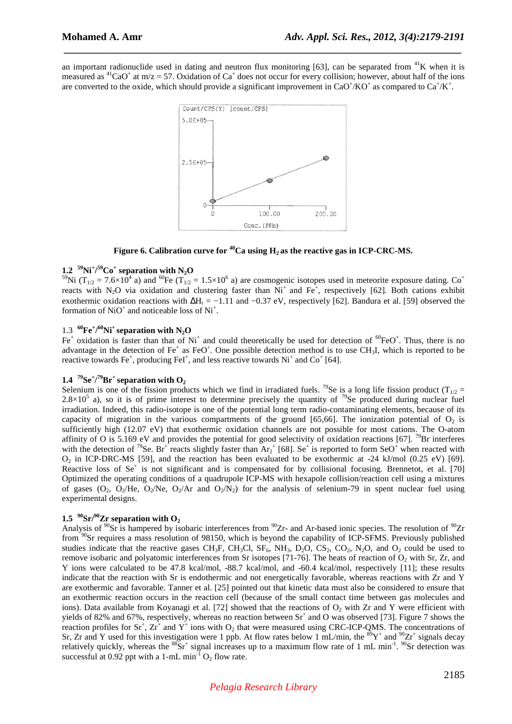an important radionuclide used in dating and neutron flux monitoring [63], can be separated from  ${}^{41}$ K when it is measured as <sup>41</sup>CaO<sup>+</sup> at m/z = 57. Oxidation of Ca<sup>+</sup> does not occur for every collision; however, about half of the ions are converted to the oxide, which should provide a significant improvement in CaO<sup>+</sup>/KO<sup>+</sup> as compared to Ca<sup>+</sup>/K<sup>+</sup>.

 *\_\_\_\_\_\_\_\_\_\_\_\_\_\_\_\_\_\_\_\_\_\_\_\_\_\_\_\_\_\_\_\_\_\_\_\_\_\_\_\_\_\_\_\_\_\_\_\_\_\_\_\_\_\_\_\_\_\_\_\_\_\_\_\_\_\_\_\_\_\_\_\_\_\_\_\_\_*



**Figure 6. Calibration curve for**  $^{40}$ **Ca using**  $H_2$  **as the reactive gas in ICP-CRC-MS.** 

# $1.2 \frac{59}{N}Ni^{+/59}Co^{+}$  separation with N<sub>2</sub>O

<sup>59</sup>Ni (T<sub>1/2</sub> = 7.6×10<sup>4</sup> a) and <sup>60</sup>Fe (T<sub>1/2</sub> = 1.5×10<sup>6</sup> a) are cosmogenic isotopes used in meteorite exposure dating. Co<sup>+</sup> reacts with N<sub>2</sub>O via oxidation and clustering faster than  $Ni^+$  and Fe<sup>+</sup>, respectively [62]. Both cations exhibit exothermic oxidation reactions with  $\Delta H_r = -1.11$  and  $-0.37$  eV, respectively [62]. Bandura et al. [59] observed the formation of  $NiO<sup>+</sup>$  and noticeable loss of  $Ni<sup>+</sup>$ .

# $1.3$  <sup>60</sup>**Fe**<sup>+</sup>/<sup>60</sup>**Ni**<sup>+</sup> separation with N<sub>2</sub>**O**

Fe<sup>+</sup> oxidation is faster than that of Ni<sup>+</sup> and could theoretically be used for detection of  ${}^{60}FeO^+$ . Thus, there is no advantage in the detection of  $Fe^+$  as FeO<sup>+</sup>. One possible detection method is to use CH<sub>3</sub>I, which is reported to be reactive towards  $Fe^+$ , producing  $FeI^+$ , and less reactive towards  $Ni^+$  and  $Co^+$  [64].

# **1.4 <sup>79</sup>Se<sup>+</sup> / <sup>79</sup>Br<sup>+</sup>separation with O<sup>2</sup>**

Selenium is one of the fission products which we find in irradiated fuels. <sup>79</sup>Se is a long life fission product (T<sub>1/2</sub> =  $2.8 \times 10^5$  a), so it is of prime interest to determine precisely the quantity of <sup>79</sup>Se produced during nuclear fuel irradiation. Indeed, this radio-isotope is one of the potential long term radio-contaminating elements, because of its capacity of migration in the various compartments of the ground  $[65,66]$ . The ionization potential of  $O<sub>2</sub>$  is sufficiently high (12.07 eV) that exothermic oxidation channels are not possible for most cations. The O-atom affinity of O is 5.169 eV and provides the potential for good selectivity of oxidation reactions [67]. <sup>79</sup>Br interferes with the detection of <sup>79</sup>Se. Br<sup>+</sup> reacts slightly faster than  $Ar_2^+$  [68]. Se<sup>+</sup> is reported to form SeO<sup>+</sup> when reacted with  $O_2$  in ICP-DRC-MS [59], and the reaction has been evaluated to be exothermic at -24 kJ/mol (0.25 eV) [69]. Reactive loss of Se<sup>+</sup> is not significant and is compensated for by collisional focusing. Brennetot, et al. [70] Optimized the operating conditions of a quadrupole ICP-MS with hexapole collision/reaction cell using a mixtures of gases (O<sub>2</sub>, O<sub>2</sub>/He, O<sub>2</sub>/Ne, O<sub>2</sub>/Ar and O<sub>2</sub>/N<sub>2</sub>) for the analysis of selenium-79 in spent nuclear fuel using experimental designs.

## 1.5<sup> $90$ </sup>Sr $\frac{90}{2}$ **Cr** separation with O<sub>2</sub>

Analysis of  ${}^{90}Sr$  is hampered by isobaric interferences from  ${}^{90}Zr$ - and Ar-based ionic species. The resolution of  ${}^{90}Zr$ from <sup>90</sup>Sr requires a mass resolution of 98150, which is beyond the capability of ICP-SFMS. Previously published studies indicate that the reactive gases CH<sub>3</sub>F, CH<sub>3</sub>Cl, SF<sub>6</sub>, NH<sub>3</sub>, D<sub>2</sub>O, CS<sub>2</sub>, CO<sub>2</sub>, N<sub>2</sub>O, and O<sub>2</sub> could be used to remove isobaric and polyatomic interferences from Sr isotopes [71-76]. The heats of reaction of  $O_2$  with Sr, Zr, and Y ions were calculated to be 47.8 kcal/mol, -88.7 kcal/mol, and -60.4 kcal/mol, respectively [11]; these results indicate that the reaction with Sr is endothermic and not energetically favorable, whereas reactions with Zr and Y are exothermic and favorable. Tanner et al. [25] pointed out that kinetic data must also be considered to ensure that an exothermic reaction occurs in the reaction cell (because of the small contact time between gas molecules and ions). Data available from Koyanagi et al. [72] showed that the reactions of  $O<sub>2</sub>$  with Zr and Y were efficient with yields of 82% and 67%, respectively, whereas no reaction between  $Sr^+$  and O was observed [73]. Figure 7 shows the reaction profiles for  $Sr^+$ ,  $Zr^+$  and  $Y^+$  ions with  $O_2$  that were measured using CRC-ICP-QMS. The concentrations of Sr, Zr and Y used for this investigation were 1 ppb. At flow rates below 1 mL/min, the  ${}^{89}Y^+$  and  ${}^{90}Zr^+$  signals decay relatively quickly, whereas the  ${}^{88}Sr^+$  signal increases up to a maximum flow rate of 1 mL min<sup>-1</sup>. <sup>90</sup>Sr detection was successful at 0.92 ppt with a 1-mL min<sup>-1</sup>  $O_2$  flow rate.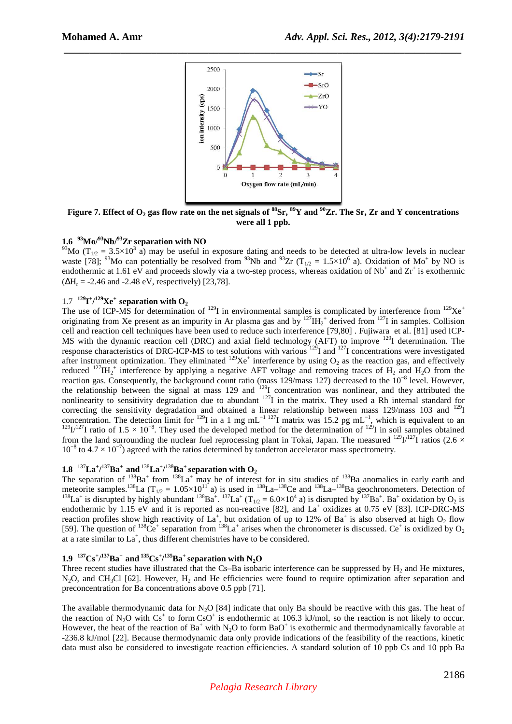

 *\_\_\_\_\_\_\_\_\_\_\_\_\_\_\_\_\_\_\_\_\_\_\_\_\_\_\_\_\_\_\_\_\_\_\_\_\_\_\_\_\_\_\_\_\_\_\_\_\_\_\_\_\_\_\_\_\_\_\_\_\_\_\_\_\_\_\_\_\_\_\_\_\_\_\_\_\_*

**Figure 7. Effect of O2 gas flow rate on the net signals of <sup>88</sup>Sr, <sup>89</sup>Y and <sup>90</sup>Zr. The Sr, Zr and Y concentrations were all 1 ppb.** 

## **1.6 <sup>93</sup>Mo/<sup>93</sup>Nb/<sup>93</sup>Zr separation with NO**

<sup>93</sup>Mo (T<sub>1/2</sub> = 3.5×10<sup>3</sup> a) may be useful in exposure dating and needs to be detected at ultra-low levels in nuclear waste [78]; <sup>93</sup>Mo can potentially be resolved from <sup>93</sup>Nb and <sup>93</sup>Zr (T<sub>1/2</sub> = 1.5×10<sup>6</sup> a). Oxidation of Mo<sup>+</sup> by NO is endothermic at 1.61 eV and proceeds slowly via a two-step process, whereas oxidation of  $Nb^+$  and  $Zr^+$  is exothermic  $(\Delta H_r = -2.46 \text{ and } -2.48 \text{ eV},$  respectively) [23,78].

# $1.7 \frac{129}{11}$ <sup> $+/-129$ </sup>**Xe**<sup> $+$ </sup>**separation with O**<sub>2</sub>

The use of ICP-MS for determination of  $^{129}$ I in environmental samples is complicated by interference from  $^{129}Xe^+$ originating from Xe present as an impurity in Ar plasma gas and by  $^{127}H_2^+$  derived from  $^{127}I$  in samples. Collision cell and reaction cell techniques have been used to reduce such interference [79,80] . Fujiwara et al. [81] used ICP-MS with the dynamic reaction cell (DRC) and axial field technology (AFT) to improve <sup>129</sup>I determination. The response characteristics of DRC-ICP-MS to test solutions with various <sup>129</sup>I and <sup>127</sup>I concentrations were investigated after instrument optimization. They eliminated  $^{129}Xe^+$  interference by using  $O_2$  as the reaction gas, and effectively reduced <sup>127</sup>IH<sub>2</sub><sup>+</sup> interference by applying a negative AFT voltage and removing traces of H<sub>2</sub> and H<sub>2</sub>O from the reaction gas. Consequently, the background count ratio (mass 129/mass 127) decreased to the 10−8 level. However, the relationship between the signal at mass 129 and <sup>129</sup>I concentration was nonlinear, and they attributed the nonlinearity to sensitivity degradation due to abundant  $127$ I in the matrix. They used a Rh internal standard for correcting the sensitivity degradation and obtained a linear relationship between mass 129/mass 103 and  $^{129}I$ concentration. The detection limit for <sup>129</sup>I in a 1 mg mL<sup>-1 127</sup>I matrix was 15.2 pg mL<sup>-1</sup>, which is equivalent to an  $129I/127$ I ratio of  $1.5 \times 10^{-8}$ . They used the developed method for the determination of  $129I$  in soil samples obtained from the land surrounding the nuclear fuel reprocessing plant in Tokai, Japan. The measured  $^{129}I^{127}I$  ratios (2.6  $\times$  $10^{-8}$  to  $4.7 \times 10^{-7}$ ) agreed with the ratios determined by tandetron accelerator mass spectrometry.

# $1.8$   $^{137}$  La<sup>+</sup> $/$  $^{137}$ Ba<sup>+</sup> and  $^{138}$  La<sup>+</sup> $/$  $^{138}$ Ba<sup>+</sup> separation with O<sub>2</sub>

The separation of  $138$ Ba<sup>+</sup> from  $138$ La<sup>+</sup> may be of interest for in situ studies of  $138$ Ba anomalies in early earth and meteorite samples.<sup>138</sup>La (T<sub>1/2</sub> = 1.05×10<sup>11</sup> a) is used in <sup>138</sup>La–<sup>138</sup>Ce and <sup>138</sup>La–<sup>138</sup>Ba geochronometers. Detection of <sup>138</sup>La<sup>+</sup> is disrupted by highly abundant <sup>138</sup>Ba<sup>+</sup>. <sup>137</sup>La<sup>+</sup> (T<sub>1/2</sub> = 6.0×10<sup>4</sup> a) is disrupted by <sup>137</sup>Ba<sup>+</sup>. Ba<sup>+</sup> oxidation by O<sub>2</sub> is endothermic by 1.15 eV and it is reported as non-reactive [82], and La<sup>+</sup> oxidizes at 0.75 eV [83]. ICP-DRC-MS reaction profiles show high reactivity of  $La^+$ , but oxidation of up to 12% of  $Ba^+$  is also observed at high  $O_2$  flow [59]. The question of <sup>138</sup>Ce<sup>+</sup> separation from <sup>138</sup>La<sup>+</sup> arises when the chronometer is discussed. Ce<sup>+</sup> is oxidized by O<sub>2</sub> at a rate similar to  $La^+$ , thus different chemistries have to be considered.

# **1.9**  $^{137}$ Cs<sup>+</sup>/<sup>137</sup>Ba<sup>+</sup> and<sup>135</sup>Cs<sup>+</sup>/<sup>135</sup>Ba<sup>+</sup> separation with N<sub>2</sub>O

Three recent studies have illustrated that the Cs–Ba isobaric interference can be suppressed by  $H_2$  and He mixtures,  $N_2O$ , and CH<sub>3</sub>Cl [62]. However, H<sub>2</sub> and He efficiencies were found to require optimization after separation and preconcentration for Ba concentrations above 0.5 ppb [71].

The available thermodynamic data for N<sub>2</sub>O [84] indicate that only Ba should be reactive with this gas. The heat of the reaction of N<sub>2</sub>O with Cs<sup>+</sup> to form CsO<sup>+</sup> is endothermic at 106.3 kJ/mol, so the reaction is not likely to occur. However, the heat of the reaction of  $Ba^+$  with N<sub>2</sub>O to form  $BaO^+$  is exothermic and thermodynamically favorable at -236.8 kJ/mol [22]. Because thermodynamic data only provide indications of the feasibility of the reactions, kinetic data must also be considered to investigate reaction efficiencies. A standard solution of 10 ppb Cs and 10 ppb Ba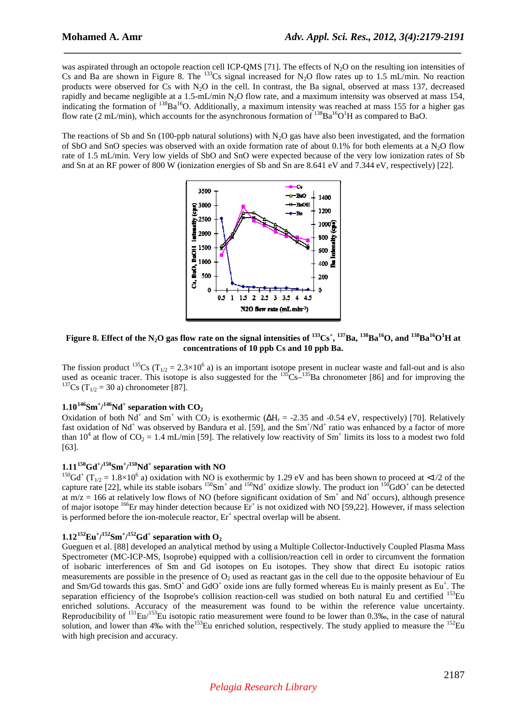was aspirated through an octopole reaction cell ICP-QMS [71]. The effects of N<sub>2</sub>O on the resulting ion intensities of Cs and Ba are shown in Figure 8. The <sup>133</sup>Cs signal increased for N<sub>2</sub>O flow rates up to 1.5 mL/min. No reaction products were observed for Cs with N2O in the cell. In contrast, the Ba signal, observed at mass 137, decreased rapidly and became negligible at a 1.5-mL/min N<sub>2</sub>O flow rate, and a maximum intensity was observed at mass 154, indicating the formation of <sup>138</sup>Ba<sup>16</sup>O. Additionally, a maximum intensity was reached at mass 155 for a higher gas flow rate (2 mL/min), which accounts for the asynchronous formation of  $^{138}Ba^{16}O<sup>1</sup>H$  as compared to BaO.

 *\_\_\_\_\_\_\_\_\_\_\_\_\_\_\_\_\_\_\_\_\_\_\_\_\_\_\_\_\_\_\_\_\_\_\_\_\_\_\_\_\_\_\_\_\_\_\_\_\_\_\_\_\_\_\_\_\_\_\_\_\_\_\_\_\_\_\_\_\_\_\_\_\_\_\_\_\_*

The reactions of Sb and Sn (100-ppb natural solutions) with  $N<sub>2</sub>O$  gas have also been investigated, and the formation of SbO and SnO species was observed with an oxide formation rate of about 0.1% for both elements at a N<sub>2</sub>O flow rate of 1.5 mL/min. Very low yields of SbO and SnO were expected because of the very low ionization rates of Sb and Sn at an RF power of 800 W (ionization energies of Sb and Sn are 8.641 eV and 7.344 eV, respectively) [22].



Figure 8. Effect of the N<sub>2</sub>O gas flow rate on the signal intensities of  $^{133}Cs^+$ ,  $^{137}Ba$ ,  $^{138}Ba^{16}O$ , and  $^{138}Ba^{16}O^1H$  at **concentrations of 10 ppb Cs and 10 ppb Ba.** 

The fission product  $^{135}Cs$  (T<sub>1/2</sub> = 2.3×10<sup>6</sup> a) is an important isotope present in nuclear waste and fall-out and is also used as oceanic tracer. This isotope is also suggested for the  $^{135}Cs^{-135}Ba$  chronometer [86] and for improving the <sup>137</sup>Cs (T<sub>1/2</sub> = 30 a) chronometer [87].

# $1.10^{146}\text{Sm}^{\ast}/^{146}\text{Nd}^{\ast}$  separation with  $\text{CO}_2$

Oxidation of both Nd<sup>+</sup> and Sm<sup>+</sup> with CO<sub>2</sub> is exothermic ( $\Delta H_r = -2.35$  and -0.54 eV, respectively) [70]. Relatively fast oxidation of Nd<sup>+</sup> was observed by Bandura et al. [59], and the Sm<sup>+</sup>/Nd<sup>+</sup> ratio was enhanced by a factor of more than 10<sup>4</sup> at flow of CO<sub>2</sub> = 1.4 mL/min [59]. The relatively low reactivity of Sm<sup>+</sup> limits its loss to a modest two fold [63].

## **1.11<sup>150</sup>Gd<sup>+</sup> / <sup>150</sup>Sm<sup>+</sup> / <sup>150</sup>Nd<sup>+</sup> separation with NO**

<sup>150</sup>Gd<sup>+</sup> (T<sub>1/2</sub> = 1.8×10<sup>6</sup> a) oxidation with NO is exothermic by 1.29 eV and has been shown to proceed at <1/2 of the capture rate [22], while its stable isobars  $^{150}Sm^+$  and  $^{150}Nd^+$  oxidize slowly. The product ion  $^{150}GdO^+$  can be detected at  $m/z = 166$  at relatively low flows of NO (before significant oxidation of  $Sm^+$  and  $Nd^+$  occurs), although presence of major isotope <sup>166</sup>Er may hinder detection because Er<sup>+</sup> is not oxidized with NO [59,22]. However, if mass selection is performed before the ion-molecule reactor,  $Er^+$  spectral overlap will be absent.

# **1.12<sup>152</sup>Eu<sup>+</sup> / <sup>152</sup>Sm<sup>+</sup> / <sup>152</sup>Gd<sup>+</sup> separation with O<sup>2</sup>**

Gueguen et al. [88] developed an analytical method by using a Multiple Collector-Inductively Coupled Plasma Mass Spectrometer (MC-ICP-MS, Isoprobe) equipped with a collision/reaction cell in order to circumvent the formation of isobaric interferences of Sm and Gd isotopes on Eu isotopes. They show that direct Eu isotopic ratios measurements are possible in the presence of  $O<sub>2</sub>$  used as reactant gas in the cell due to the opposite behaviour of Eu and Sm/Gd towards this gas. SmO<sup>+</sup> and GdO<sup>+</sup> oxide ions are fully formed whereas Eu is mainly present as Eu<sup>+</sup>. The separation efficiency of the Isoprobe's collision reaction-cell was studied on both natural Eu and certified <sup>153</sup>Eu enriched solutions. Accuracy of the measurement was found to be within the reference value uncertainty. Reproducibility of <sup>151</sup>Eu/<sup>153</sup>Eu isotopic ratio measurement were found to be lower than 0.3‰, in the case of natural solution, and lower than 4‰ with the<sup>153</sup>Eu enriched solution, respectively. The study applied to measure the <sup>152</sup>Eu with high precision and accuracy.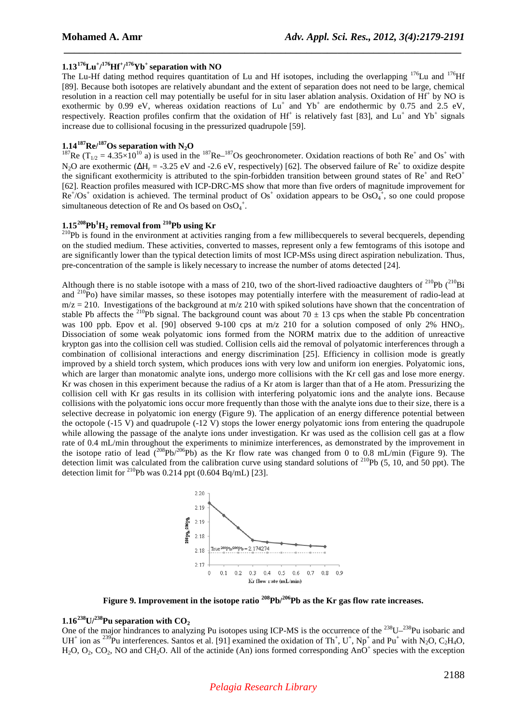## **1.13<sup>176</sup>Lu<sup>+</sup> / <sup>176</sup>Hf<sup>+</sup> / <sup>176</sup>Yb<sup>+</sup>separation with NO**

The Lu-Hf dating method requires quantitation of Lu and Hf isotopes, including the overlapping <sup>176</sup>Lu and <sup>176</sup>Hf [89]. Because both isotopes are relatively abundant and the extent of separation does not need to be large, chemical resolution in a reaction cell may potentially be useful for in situ laser ablation analysis. Oxidation of Hf<sup>+</sup> by NO is exothermic by 0.99 eV, whereas oxidation reactions of  $Lu^+$  and  $Yb^+$  are endothermic by 0.75 and 2.5 eV, respectively. Reaction profiles confirm that the oxidation of  $Hf^+$  is relatively fast [83], and  $Lu^+$  and  $Yb^+$  signals increase due to collisional focusing in the pressurized quadrupole [59].

 *\_\_\_\_\_\_\_\_\_\_\_\_\_\_\_\_\_\_\_\_\_\_\_\_\_\_\_\_\_\_\_\_\_\_\_\_\_\_\_\_\_\_\_\_\_\_\_\_\_\_\_\_\_\_\_\_\_\_\_\_\_\_\_\_\_\_\_\_\_\_\_\_\_\_\_\_\_*

# $1.14^{187}$ **Re** $/$ <sup>187</sup>**Os separation with N<sub>2</sub><b>O**

<sup>187</sup>Re (T<sub>1/2</sub> = 4.35×10<sup>10</sup> a) is used in the <sup>187</sup>Re–<sup>187</sup>Os geochronometer. Oxidation reactions of both Re<sup>+</sup> and Os<sup>+</sup> with N<sub>2</sub>O are exothermic ( $\Delta H_r$  = -3.25 eV and -2.6 eV, respectively) [62]. The observed failure of Re<sup>+</sup> to oxidize despite the significant exothermicity is attributed to the spin-forbidden transition between ground states of  $Re^+$  and  $ReO^+$ [62]. Reaction profiles measured with ICP-DRC-MS show that more than five orders of magnitude improvement for  $Re^{\dagger}/Os^{\dagger}$  oxidation is achieved. The terminal product of  $Os^{\dagger}$  oxidation appears to be  $OsO_4^{\dagger}$ , so one could propose simultaneous detection of Re and Os based on  $OsO<sub>4</sub><sup>+</sup>$ .

# **1.15<sup>208</sup>Pb<sup>1</sup>H2 removal from <sup>210</sup>Pb using Kr**

 $^{210}$ Pb is found in the environment at activities ranging from a few millibecquerels to several becquerels, depending on the studied medium. These activities, converted to masses, represent only a few femtograms of this isotope and are significantly lower than the typical detection limits of most ICP-MSs using direct aspiration nebulization. Thus, pre-concentration of the sample is likely necessary to increase the number of atoms detected [24].

Although there is no stable isotope with a mass of 210, two of the short-lived radioactive daughters of <sup>210</sup>Pb (<sup>210</sup>Bi and <sup>210</sup>Po) have similar masses, so these isotopes may potentially interfere with the measurement of radio-lead at  $m/z = 210$ . Investigations of the background at  $m/z$  210 with spiked solutions have shown that the concentration of stable Pb affects the <sup>210</sup>Pb signal. The background count was about 70  $\pm$  13 cps when the stable Pb concentration was 100 ppb. Epov et al. [90] observed 9-100 cps at m/z 210 for a solution composed of only 2% HNO<sub>3</sub>. Dissociation of some weak polyatomic ions formed from the NORM matrix due to the addition of unreactive krypton gas into the collision cell was studied. Collision cells aid the removal of polyatomic interferences through a combination of collisional interactions and energy discrimination [25]. Efficiency in collision mode is greatly improved by a shield torch system, which produces ions with very low and uniform ion energies. Polyatomic ions, which are larger than monatomic analyte ions, undergo more collisions with the Kr cell gas and lose more energy. Kr was chosen in this experiment because the radius of a Kr atom is larger than that of a He atom. Pressurizing the collision cell with Kr gas results in its collision with interfering polyatomic ions and the analyte ions. Because collisions with the polyatomic ions occur more frequently than those with the analyte ions due to their size, there is a selective decrease in polyatomic ion energy (Figure 9). The application of an energy difference potential between the octopole (-15 V) and quadrupole (-12 V) stops the lower energy polyatomic ions from entering the quadrupole while allowing the passage of the analyte ions under investigation. Kr was used as the collision cell gas at a flow rate of 0.4 mL/min throughout the experiments to minimize interferences, as demonstrated by the improvement in the isotope ratio of lead  $(208Pb)^{206}Pb$ ) as the Kr flow rate was changed from 0 to 0.8 mL/min (Figure 9). The detection limit was calculated from the calibration curve using standard solutions of  $^{210}Pb$  (5, 10, and 50 ppt). The detection limit for <sup>210</sup>Pb was 0.214 ppt  $(0.604 Bq/mL)$  [23].



**Figure 9. Improvement in the isotope ratio <sup>208</sup>Pb/<sup>206</sup>Pb as the Kr gas flow rate increases.** 

# $1.16^{238}$ U/<sup>238</sup>Pu separation with CO<sub>2</sub>

One of the major hindrances to analyzing Pu isotopes using ICP-MS is the occurrence of the <sup>238</sup>U–<sup>238</sup>Pu isobaric and UH<sup>+</sup> ion as <sup>239</sup>Pu interferences. Santos et al. [91] examined the oxidation of Th<sup>+</sup>, U<sup>+</sup>, Np<sup>+</sup> and Pu<sup>+</sup> with N<sub>2</sub>O, C<sub>2</sub>H<sub>4</sub>O,  $H_2O$ ,  $O_2$ ,  $CO_2$ , NO and CH<sub>2</sub>O. All of the actinide (An) ions formed corresponding AnO<sup>+</sup> species with the exception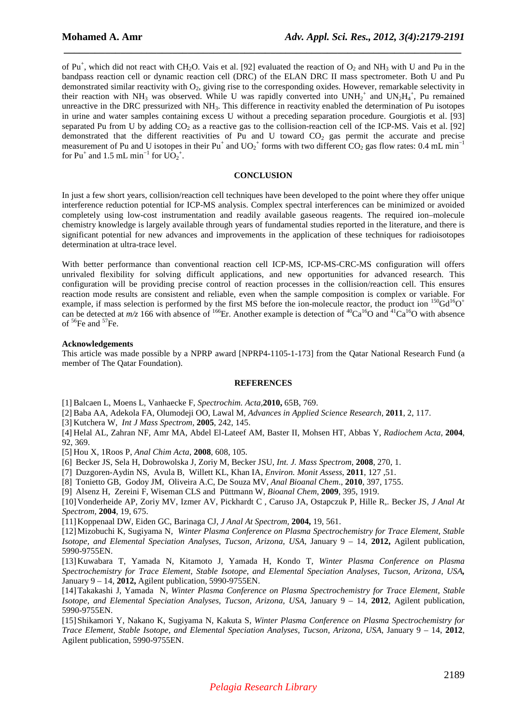of Pu<sup>+</sup>, which did not react with CH<sub>2</sub>O. Vais et al. [92] evaluated the reaction of  $O_2$  and NH<sub>3</sub> with U and Pu in the bandpass reaction cell or dynamic reaction cell (DRC) of the ELAN DRC II mass spectrometer. Both U and Pu demonstrated similar reactivity with  $O<sub>2</sub>$ , giving rise to the corresponding oxides. However, remarkable selectivity in their reaction with NH<sub>3</sub> was observed. While U was rapidly converted into  $UNH_2^+$  and  $UN_2H_4^+$ , Pu remained unreactive in the DRC pressurized with NH<sub>3</sub>. This difference in reactivity enabled the determination of Pu isotopes in urine and water samples containing excess U without a preceding separation procedure. Gourgiotis et al. [93] separated Pu from U by adding  $CO_2$  as a reactive gas to the collision-reaction cell of the ICP-MS. Vais et al. [92] demonstrated that the different reactivities of Pu and U toward  $CO<sub>2</sub>$  gas permit the accurate and precise measurement of Pu and U isotopes in their  $Pu^+$  and  $UO_2^+$  forms with two different  $CO_2$  gas flow rates: 0.4 mL min<sup>-1</sup> for  $Pu^+$  and 1.5 mL min<sup>-1</sup> for  $UO_2^+$ .

 *\_\_\_\_\_\_\_\_\_\_\_\_\_\_\_\_\_\_\_\_\_\_\_\_\_\_\_\_\_\_\_\_\_\_\_\_\_\_\_\_\_\_\_\_\_\_\_\_\_\_\_\_\_\_\_\_\_\_\_\_\_\_\_\_\_\_\_\_\_\_\_\_\_\_\_\_\_*

### **CONCLUSION**

In just a few short years, collision/reaction cell techniques have been developed to the point where they offer unique interference reduction potential for ICP-MS analysis. Complex spectral interferences can be minimized or avoided completely using low-cost instrumentation and readily available gaseous reagents. The required ion–molecule chemistry knowledge is largely available through years of fundamental studies reported in the literature, and there is significant potential for new advances and improvements in the application of these techniques for radioisotopes determination at ultra-trace level.

With better performance than conventional reaction cell ICP-MS, ICP-MS-CRC-MS configuration will offers unrivaled flexibility for solving difficult applications, and new opportunities for advanced research. This configuration will be providing precise control of reaction processes in the collision/reaction cell. This ensures reaction mode results are consistent and reliable, even when the sample composition is complex or variable. For example, if mass selection is performed by the first MS before the ion-molecule reactor, the product ion  $^{150}Gd^{16}O^+$ can be detected at  $m/z$  166 with absence of <sup>166</sup>Er. Another example is detection of  ${}^{40}Ca^{16}O$  and  ${}^{41}Ca^{16}O$  with absence of  ${}^{56}$ Fe and  ${}^{57}$ Fe.

#### **Acknowledgements**

This article was made possible by a NPRP award [NPRP4-1105-1-173] from the Qatar National Research Fund (a member of The Qatar Foundation).

#### **REFERENCES**

[1] Balcaen L, Moens L, Vanhaecke F, *Spectrochim. Acta,***2010,** 65B, 769.

[2] Baba AA, Adekola FA, Olumodeji OO, Lawal M, *Advances in Applied Science Research*, **2011**, 2, 117.

[3] Kutchera W, *Int J Mass Spectrom,* **2005**, 242, 145.

[4] Helal AL, Zahran NF, Amr MA, Abdel El-Lateef AM, Baster II, Mohsen HT, Abbas Y*, Radiochem Acta*, **2004**, 92, 369.

[5] Hou X, 1Roos P, *Anal Chim Acta*, **2008**, 608, 105.

[6] Becker JS, Sela H, Dobrowolska J, Zoriy M, Becker JSU, *Int. J. Mass Spectrom*, **2008**, 270, 1.

[7] Duzgoren-Aydin NS, Avula B, Willett KL, Khan IA, *Environ. Monit Assess*, **2011**, 127 ,51.

[8] Tonietto GB, Godoy JM, Oliveira A.C, De Souza MV, *Anal Bioanal Chem*., **2010**, 397, 1755.

[9] Alsenz H, Zereini F, Wiseman CLS and Püttmann W, *Bioanal Chem*, **2009**, 395, 1919.

[10]Vonderheide AP, Zoriy MV, Izmer AV, Pickhardt C , Caruso JA, Ostapczuk P, Hille R,. Becker JS, *J Anal At Spectrom*, **2004**, 19, 675.

[11]Koppenaal DW, Eiden GC, Barinaga CJ, *J Anal At Spectrom,* **2004,** 19, 561.

[12]Mizobuchi K, Sugiyama N, *Winter Plasma Conference on Plasma Spectrochemistry for Trace Element, Stable Isotope, and Elemental Speciation Analyses, Tucson, Arizona, USA*, January 9 – 14, **2012,** Agilent publication, 5990-9755EN.

[13]Kuwabara T, Yamada N, Kitamoto J, Yamada H, Kondo T, *Winter Plasma Conference on Plasma Spectrochemistry for Trace Element, Stable Isotope, and Elemental Speciation Analyses, Tucson, Arizona, USA,* January 9 – 14, **2012,** Agilent publication, 5990-9755EN.

[14]Takakashi J, Yamada N, *Winter Plasma Conference on Plasma Spectrochemistry for Trace Element, Stable Isotope, and Elemental Speciation Analyses, Tucson, Arizona, USA,* January 9 – 14, **2012**, Agilent publication, 5990-9755EN.

[15]Shikamori Y, Nakano K, Sugiyama N, Kakuta S, *Winter Plasma Conference on Plasma Spectrochemistry for Trace Element, Stable Isotope, and Elemental Speciation Analyses, Tucson, Arizona, USA,* January 9 – 14, **2012**, Agilent publication, 5990-9755EN.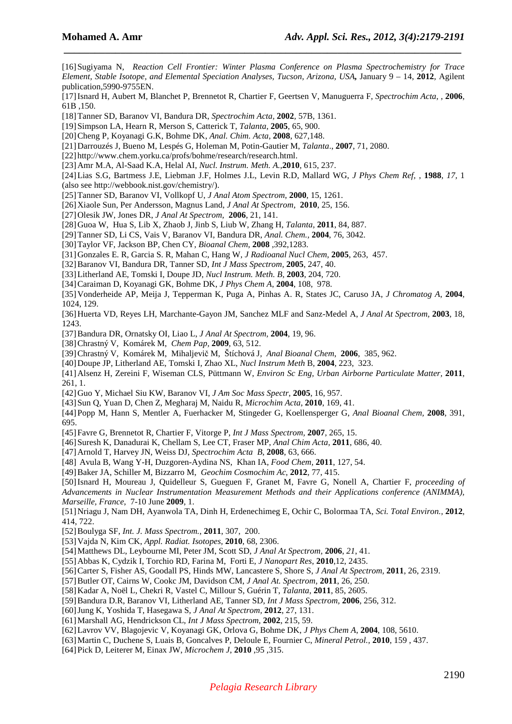[16]Sugiyama N, *Reaction Cell Frontier: Winter Plasma Conference on Plasma Spectrochemistry for Trace Element, Stable Isotope, and Elemental Speciation Analyses, Tucson, Arizona, USA,* January 9 – 14, **2012**, Agilent publication,5990-9755EN.

 *\_\_\_\_\_\_\_\_\_\_\_\_\_\_\_\_\_\_\_\_\_\_\_\_\_\_\_\_\_\_\_\_\_\_\_\_\_\_\_\_\_\_\_\_\_\_\_\_\_\_\_\_\_\_\_\_\_\_\_\_\_\_\_\_\_\_\_\_\_\_\_\_\_\_\_\_\_*

[17]Isnard H, Aubert M, Blanchet P, Brennetot R, Chartier F, Geertsen V, Manuguerra F, *Spectrochim Acta*, , **2006**, 61B ,150.

- [18]Tanner SD, Baranov VI, Bandura DR, *Spectrochim Acta,* **2002***,* 57B, 1361.
- [19]Simpson LA, Hearn R, Merson S, Catterick T, *Talanta*, **2005**, 65, 900.
- [20]Cheng P, Koyanagi G.K, Bohme DK, *Anal. Chim. Acta*, **2008**, 627,148.
- [21]Darrouzés J, Bueno M, Lespés G, Holeman M, Potin-Gautier M, *Talanta*., **2007**, 71, 2080.
- [22] http://www.chem.yorku.ca/profs/bohme/research/research.html.
- [23]Amr M.A, Al-Saad K.A, Helal AI, *Nucl. Instrum. Meth. A.*,**2010**, 615, 237.
- [24]Lias S.G, Bartmess J.E, Liebman J.F, Holmes J.L, Levin R.D, Mallard WG, *J Phys Chem Ref,* , **1988**, *17,* 1 (also see http://webbook.nist.gov/chemistry/).
- [25]Tanner SD, Baranov VI, Vollkopf U, *J Anal Atom Spectrom*, **2000**, 15, 1261.
- [26]Xiaole Sun, Per Andersson, Magnus Land, *J Anal At Spectrom,* **2010**, 25, 156.
- [27]Olesik JW, Jones DR, *J Anal At Spectrom,* **2006**, 21, 141.
- [28]Guoa W, Hua S, Lib X, Zhaob J, Jinb S, Liub W, Zhang H, *Talanta*, **2011**, 84, 887.
- [29]Tanner SD, Li CS, Vais V, Baranov VI, Bandura DR*, Anal. Chem.,* **2004**, 76, 3042.
- [30]Taylor VF, Jackson BP, Chen CY*, Bioanal Chem*, **2008** ,392,1283.
- [31]Gonzales E. R, Garcia S. R, Mahan C, Hang W, *J Radioanal Nucl Chem,* **2005**, 263, 457.
- [32]Baranov VI, Bandura DR, Tanner SD, *Int J Mass Spectrom,* **2005**, 247, 40.
- [33]Litherland AE, Tomski I, Doupe JD, *Nucl Instrum. Meth. B*, **2003**, 204, 720.
- [34]Caraiman D, Koyanagi GK, Bohme DK, *J Phys Chem A*, **2004**, 108, 978.
- [35]Vonderheide AP, Meija J, Tepperman K, Puga A, Pinhas A. R, States JC, Caruso JA, *J Chromatog A*, **2004**, 1024, 129.
- [36]Huerta VD, Reyes LH, Marchante-Gayon JM, Sanchez MLF and Sanz-Medel A, *J Anal At Spectrom,* **2003**, 18, 1243.
- [37]Bandura DR, Ornatsky OI, Liao L, *J Anal At Spectrom,* **2004**, 19, 96.
- [38]Chrastný V, Komárek M, *Chem Pap,* **2009**, 63, 512.
- [39]Chrastný V, Komárek M, Mihaljevič M, Štíchová J*, Anal Bioanal Chem*, **2006**, 385, 962.
- [40]Doupe JP, Litherland AE, Tomski I*,* Zhao XL, *Nucl Instrum Meth* B, **2004**, 223, 323.
- [41]Alsenz H, Zereini F, Wiseman CLS, Püttmann W, *Environ Sc Eng, Urban Airborne Particulate Matter,* **2011**, 261, 1.
- [42]Guo Y, Michael Siu KW, Baranov VI, *J Am Soc Mass Spectr*, **2005**, 16, 957.
- [43]Sun Q, Yuan D, Chen Z, Megharaj M, Naidu R, *Microchim Acta*, **2010**, 169, 41.
- [44]Popp M, Hann S, Mentler A, Fuerhacker M, Stingeder G, Koellensperger G, *Anal Bioanal Chem,* **2008**, 391, 695.
- [45]Favre G, Brennetot R, Chartier F, Vitorge P, *Int J Mass Spectrom,* **2007**, 265, 15.
- [46]Suresh K, Danadurai K, Chellam S, Lee CT, Fraser MP, *Anal Chim Acta,* **2011**, 686, 40.
- [47]Arnold T, Harvey JN, Weiss DJ, *Spectrochim Acta B*, **2008**, 63, 666.
- [48] Avula B, Wang Y-H, Duzgoren-Aydina NS, Khan IA, *Food Chem,* **2011**, 127, 54.
- [49]Baker JA, Schiller M, Bizzarro M, *Geochim Cosmochim Ac*, **2012**, 77, 415.
- [50]Isnard H, Moureau J, Quidelleur S, Gueguen F, Granet M, Favre G, Nonell A, Chartier F, *proceeding of*
- *Advancements in Nuclear Instrumentation Measurement Methods and their Applications conference (ANIMMA), Marseille, France*, 7-10 June **2009**, 1.
- [51]Nriagu J, Nam DH, Ayanwola TA, Dinh H, Erdenechimeg E, Ochir C, Bolormaa TA, *Sci. Total Environ.,* **2012**, 414, 722.
- [52]Boulyga SF, *Int. J. Mass Spectrom.*, **2011**, 307, 200.
- [53]Vajda N, Kim CK, *Appl. Radiat. Isotopes,* **2010**, 68, 2306.
- [54]Matthews DL, Leybourne MI, Peter JM, Scott SD, *J Anal At Spectrom,* **2006**, *21*, 41.
- [55]Abbas K, Cydzik I, Torchio RD, Farina M, Forti E*, J Nanopart Res*, **2010**,12, 2435.
- [56]Carter S, Fisher AS, Goodall PS, Hinds MW, Lancastere S, Shore S, *J Anal At Spectrom,* **2011**, 26, 2319.
- [57]Butler OT, Cairns W, Cookc JM, Davidson CM, *J Anal At. Spectrom,* **2011**, 26, 250.
- [58]Kadar A, Noël L, Chekri R, Vastel C, Millour S, Guérin T, *Talanta*, **2011**, 85, 2605.
- [59]Bandura D.R, Baranov VI, Litherland AE, Tanner SD, *Int J Mass Spectrom,* **2006**, 256, 312.
- [60]Jung K, Yoshida T, Hasegawa S, *J Anal At Spectrom,* **2012**, 27, 131.
- [61]Marshall AG, Hendrickson CL, *Int J Mass Spectrom*, **2002**, 215, 59.
- [62]Lavrov VV, Blagojevic V, Koyanagi GK, Orlova G, Bohme DK, *J Phys Chem A*, **2004**, 108, 5610.
- [63]Martin C, Duchene S, Luais B, Goncalves P, Deloule E, Fournier C, *Mineral Petrol.,* **2010**, 159 , 437.
- [64]Pick D, Leiterer M, Einax JW, *Microchem J*, **2010** ,95 ,315.